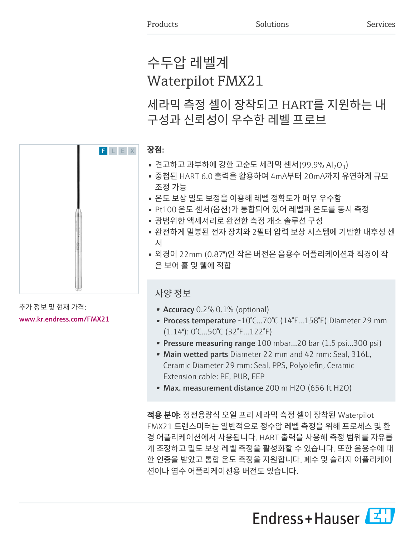# 수두압 레벨계 Waterpilot FMX21

세라믹 측정 셀이 장착되고 HART를 지원하는 내 구성과 신뢰성이 우수한 레벨 프로브

# 장점:

- 견고하고 과부하에 강한 고순도 세라믹 센서(99.9% Al<sub>2</sub>O<sub>3</sub>)
- 중첩된 HART 6.0 출력을 활용하여 4mA부터 20mA까지 유연하게 규모 조정 가능
- 온도 보상 밀도 보정을 이용해 레벨 정확도가 매우 우수함
- Pt100 온도 센서(옵션)가 통합되어 있어 레벨과 온도를 동시 측정
- 광범위한 액세서리로 완전한 측정 개소 솔루션 구성
- 완전하게 밀봉된 전자 장치와 2필터 압력 보상 시스템에 기반한 내후성 센 서
- 외경이 22mm (0.87")인 작은 버전은 음용수 어플리케이션과 직경이 작 은 보어 홀 및 웰에 적합

# 사양 정보

- Accuracy 0.2% 0.1% (optional)
- Process temperature -10°C...70°C (14°F...158°F) Diameter 29 mm (1.14"): 0°C...50°C (32°F...122°F)
- Pressure measuring range 100 mbar...20 bar (1.5 psi...300 psi)
- Main wetted parts Diameter 22 mm and 42 mm: Seal, 316L, Ceramic Diameter 29 mm: Seal, PPS, Polyolefin, Ceramic Extension cable: PE, PUR, FEP
- Max. measurement distance 200 m H2O (656 ft H2O)

적용 분야: 정전용량식 오일 프리 세라믹 측정 셀이 장착된 Waterpilot FMX21 트랜스미터는 일반적으로 정수압 레벨 측정을 위해 프로세스 및 환 경 어플리케이션에서 사용됩니다. HART 출력을 사용해 측정 범위를 자유롭 게 조정하고 밀도 보상 레벨 측정을 활성화할 수 있습니다. 또한 음용수에 대 한 인증을 받았고 통합 온도 측정을 지원합니다. 폐수 및 슬러지 어플리케이 션이나 염수 어플리케이션용 버전도 있습니다.





추가 정보 및 현재 가격: [www.kr.endress.com/FMX21](https://www.kr.endress.com/FMX21)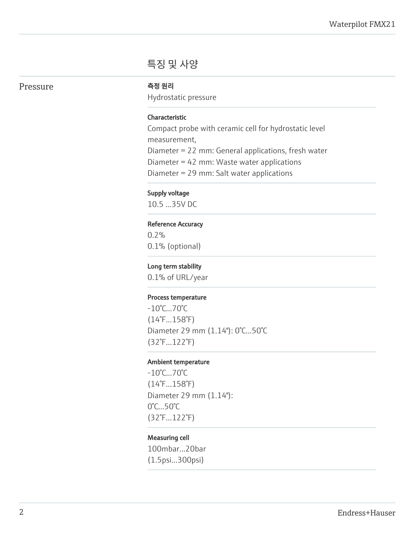# 특징 및 사양

# Pressure <del>여</del>행원리

Hydrostatic pressure

### Characteristic

Compact probe with ceramic cell for hydrostatic level measurement, Diameter = 22 mm: General applications, fresh water Diameter = 42 mm: Waste water applications Diameter = 29 mm: Salt water applications

### Supply voltage

10.5 ...35V DC

#### Reference Accuracy

0.2% 0.1% (optional)

#### Long term stability

0.1% of URL/year

#### Process temperature

-10°C...70°C (14°F...158°F) Diameter 29 mm (1.14"): 0°C...50°C (32°F...122°F)

#### Ambient temperature

-10°C...70°C (14°F...158°F) Diameter 29 mm (1.14"): 0°C...50°C (32°F...122°F)

#### Measuring cell

100mbar...20bar (1.5psi...300psi)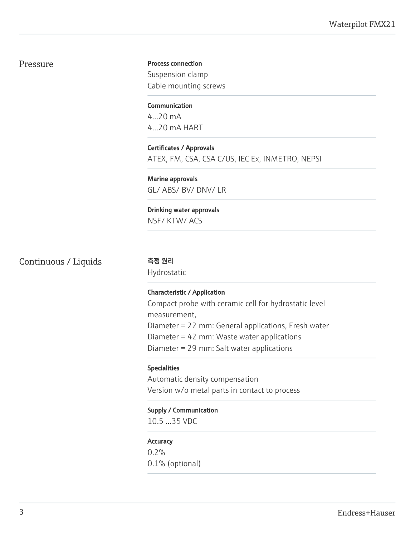# Pressure

Process connection Suspension clamp Cable mounting screws

**Communication** 4...20 mA 4...20 mA HART

Certificates / Approvals ATEX, FM, CSA, CSA C/US, IEC Ex, INMETRO, NEPSI

Marine approvals GL/ ABS/ BV/ DNV/ LR

Drinking water approvals NSF/ KTW/ ACS

Continuous / Liquids 측정 원리

Hydrostatic

#### Characteristic / Application

Compact probe with ceramic cell for hydrostatic level measurement, Diameter = 22 mm: General applications, Fresh water Diameter = 42 mm: Waste water applications Diameter = 29 mm: Salt water applications

#### Specialities

Automatic density compensation Version w/o metal parts in contact to process

Supply / Communication

10.5 ...35 VDC

#### **Accuracy**

0.2% 0.1% (optional)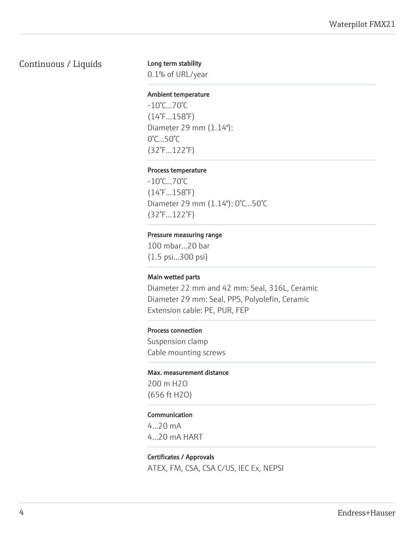# Continuous / Liquids

#### Long term stability

0.1% of URL/year

#### Ambient temperature

-10°C...70°C (14°F...158°F) Diameter 29 mm (1.14"): 0°C...50°C (32°F...122°F)

#### Process temperature

-10°C...70°C (14°F...158°F) Diameter 29 mm (1.14"): 0°C...50°C (32°F...122°F)

#### Pressure measuring range

100 mbar...20 bar (1.5 psi...300 psi)

#### Main wetted parts

Diameter 22 mm and 42 mm: Seal, 316L, Ceramic Diameter 29 mm: Seal, PPS, Polyolefin, Ceramic Extension cable: PE, PUR, FEP

#### Process connection

Suspension clamp Cable mounting screws

#### Max. measurement distance

200 m H2O (656 ft H2O)

#### Communication

4...20 mA 4...20 mA HART

# Certificates / Approvals ATEX, FM, CSA, CSA C/US, IEC Ex, NEPSI